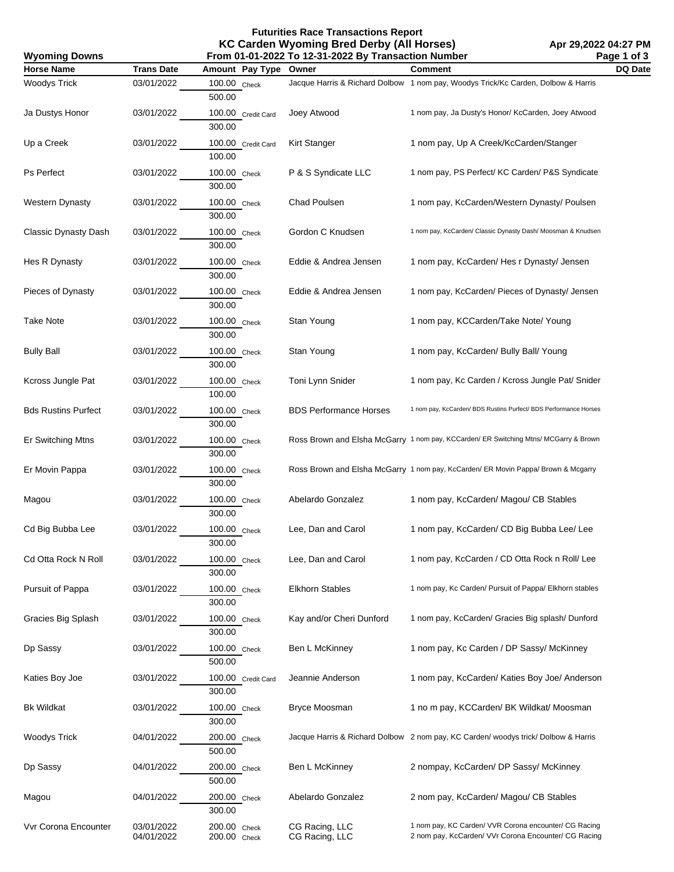## **Futurities Race Transactions Report KC Carden Wyoming Bred Derby (All Horses) From 01-01-2022 To 12-31-2022 By Transaction Number**

| Page 1 of 3<br>From 01-01-2022 To 12-31-2022 By Transaction Number<br><b>Wyoming Downs</b> |                          |                              |                                  |                                                                                                               |         |
|--------------------------------------------------------------------------------------------|--------------------------|------------------------------|----------------------------------|---------------------------------------------------------------------------------------------------------------|---------|
| <b>Horse Name</b>                                                                          | <b>Trans Date</b>        | Amount Pay Type              | Owner                            | Comment                                                                                                       | DQ Date |
| <b>Woodys Trick</b>                                                                        | 03/01/2022               | 100.00 Check<br>500.00       |                                  | Jacque Harris & Richard Dolbow 1 nom pay, Woodys Trick/Kc Carden, Dolbow & Harris                             |         |
| Ja Dustys Honor                                                                            | 03/01/2022               | 100.00 Credit Card<br>300.00 | Joey Atwood                      | 1 nom pay, Ja Dusty's Honor/ KcCarden, Joey Atwood                                                            |         |
| Up a Creek                                                                                 | 03/01/2022               | 100.00 Credit Card<br>100.00 | Kirt Stanger                     | 1 nom pay, Up A Creek/KcCarden/Stanger                                                                        |         |
| Ps Perfect                                                                                 | 03/01/2022               | 100.00 Check<br>300.00       | P & S Syndicate LLC              | 1 nom pay, PS Perfect/ KC Carden/ P&S Syndicate                                                               |         |
| <b>Western Dynasty</b>                                                                     | 03/01/2022               | 100.00 Check<br>300.00       | Chad Poulsen                     | 1 nom pay, KcCarden/Western Dynasty/ Poulsen                                                                  |         |
| <b>Classic Dynasty Dash</b>                                                                | 03/01/2022               | 100.00 Check<br>300.00       | Gordon C Knudsen                 | 1 nom pay, KcCarden/ Classic Dynasty Dash/ Moosman & Knudsen                                                  |         |
| Hes R Dynasty                                                                              | 03/01/2022               | 100.00 Check<br>300.00       | Eddie & Andrea Jensen            | 1 nom pay, KcCarden/ Hes r Dynasty/ Jensen                                                                    |         |
| Pieces of Dynasty                                                                          | 03/01/2022               | 100.00 Check<br>300.00       | Eddie & Andrea Jensen            | 1 nom pay, KcCarden/ Pieces of Dynasty/ Jensen                                                                |         |
| Take Note                                                                                  | 03/01/2022               | 100.00 Check<br>300.00       | Stan Young                       | 1 nom pay, KCCarden/Take Note/ Young                                                                          |         |
| <b>Bully Ball</b>                                                                          | 03/01/2022               | 100.00 Check<br>300.00       | Stan Young                       | 1 nom pay, KcCarden/ Bully Ball/ Young                                                                        |         |
| Kcross Jungle Pat                                                                          | 03/01/2022               | 100.00 Check<br>100.00       | Toni Lynn Snider                 | 1 nom pay, Kc Carden / Kcross Jungle Pat/ Snider                                                              |         |
| <b>Bds Rustins Purfect</b>                                                                 | 03/01/2022               | 100.00 Check<br>300.00       | <b>BDS Performance Horses</b>    | 1 nom pay, KcCarden/ BDS Rustins Purfect/ BDS Performance Horses                                              |         |
| Er Switching Mtns                                                                          | 03/01/2022               | 100.00 Check<br>300.00       |                                  | Ross Brown and Elsha McGarry 1 nom pay, KCCarden/ ER Switching Mtns/ MCGarry & Brown                          |         |
| Er Movin Pappa                                                                             | 03/01/2022               | 100.00 Check<br>300.00       |                                  | Ross Brown and Elsha McGarry 1 nom pay, KcCarden/ ER Movin Pappa/ Brown & Mcgarry                             |         |
| Magou                                                                                      | 03/01/2022               | 100.00 Check<br>300.00       | Abelardo Gonzalez                | 1 nom pay, KcCarden/ Magou/ CB Stables                                                                        |         |
| Cd Big Bubba Lee                                                                           | 03/01/2022               | 100.00 Check<br>300.00       | Lee, Dan and Carol               | 1 nom pay, KcCarden/ CD Big Bubba Lee/ Lee                                                                    |         |
| Cd Otta Rock N Roll                                                                        | 03/01/2022               | 100.00 Check<br>300.00       | Lee, Dan and Carol               | 1 nom pay, KcCarden / CD Otta Rock n Roll/ Lee                                                                |         |
| Pursuit of Pappa                                                                           | 03/01/2022               | 100.00 Check<br>300.00       | <b>Elkhorn Stables</b>           | 1 nom pay, Kc Carden/ Pursuit of Pappa/ Elkhorn stables                                                       |         |
| Gracies Big Splash                                                                         | 03/01/2022               | 100.00 Check<br>300.00       | Kay and/or Cheri Dunford         | 1 nom pay, KcCarden/ Gracies Big splash/ Dunford                                                              |         |
| Dp Sassy                                                                                   | 03/01/2022               | 100.00 Check<br>500.00       | Ben L McKinney                   | 1 nom pay, Kc Carden / DP Sassy/ McKinney                                                                     |         |
| Katies Boy Joe                                                                             | 03/01/2022               | 100.00 Credit Card<br>300.00 | Jeannie Anderson                 | 1 nom pay, KcCarden/ Katies Boy Joe/ Anderson                                                                 |         |
| <b>Bk Wildkat</b>                                                                          | 03/01/2022               | 100.00 Check<br>300.00       | <b>Bryce Moosman</b>             | 1 no m pay, KCCarden/ BK Wildkat/ Moosman                                                                     |         |
| <b>Woodys Trick</b>                                                                        | 04/01/2022               | 200.00 Check<br>500.00       |                                  | Jacque Harris & Richard Dolbow 2 nom pay, KC Carden/ woodys trick/ Dolbow & Harris                            |         |
| Dp Sassy                                                                                   | 04/01/2022               | 200.00 Check<br>500.00       | Ben L McKinney                   | 2 nompay, KcCarden/ DP Sassy/ McKinney                                                                        |         |
| Magou                                                                                      | 04/01/2022               | 200.00 Check<br>300.00       | Abelardo Gonzalez                | 2 nom pay, KcCarden/ Magou/ CB Stables                                                                        |         |
| Vvr Corona Encounter                                                                       | 03/01/2022<br>04/01/2022 | 200.00 Check<br>200.00 Check | CG Racing, LLC<br>CG Racing, LLC | 1 nom pay, KC Carden/ VVR Corona encounter/ CG Racing<br>2 nom pay, KcCarden/ VVr Corona Encounter/ CG Racing |         |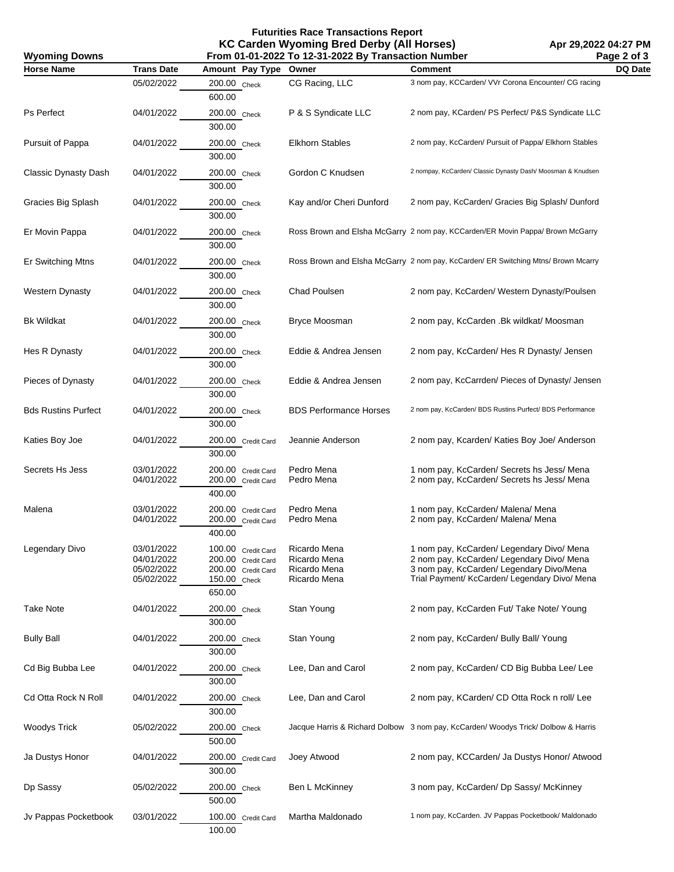## **Futurities Race Transactions Report KC Carden Wyoming Bred Derby (All Horses)**

| <b>Wyoming Downs</b>        |                                                      |                                                                                          | $\sim$ cardon rryonmig broa bondy (minorood)<br>From 01-01-2022 To 12-31-2022 By Transaction Number |                                                                                                                                                                                     | AM LYLVLL VT.LI I III<br>Page 2 of 3 |
|-----------------------------|------------------------------------------------------|------------------------------------------------------------------------------------------|-----------------------------------------------------------------------------------------------------|-------------------------------------------------------------------------------------------------------------------------------------------------------------------------------------|--------------------------------------|
| <b>Horse Name</b>           | <b>Trans Date</b>                                    | Amount Pay Type Owner                                                                    |                                                                                                     | <b>Comment</b>                                                                                                                                                                      | DQ Date                              |
|                             | 05/02/2022                                           | 200.00 Check<br>600.00                                                                   | CG Racing, LLC                                                                                      | 3 nom pay, KCCarden/ VVr Corona Encounter/ CG racing                                                                                                                                |                                      |
| Ps Perfect                  | 04/01/2022                                           | 200.00 Check<br>300.00                                                                   | P & S Syndicate LLC                                                                                 | 2 nom pay, KCarden/ PS Perfect/ P&S Syndicate LLC                                                                                                                                   |                                      |
| Pursuit of Pappa            | 04/01/2022                                           | 200.00 Check<br>300.00                                                                   | <b>Elkhorn Stables</b>                                                                              | 2 nom pay, KcCarden/ Pursuit of Pappa/ Elkhorn Stables                                                                                                                              |                                      |
| <b>Classic Dynasty Dash</b> | 04/01/2022                                           | 200.00 Check<br>300.00                                                                   | Gordon C Knudsen                                                                                    | 2 nompay, KcCarden/ Classic Dynasty Dash/ Moosman & Knudsen                                                                                                                         |                                      |
| Gracies Big Splash          | 04/01/2022                                           | 200.00 Check<br>300.00                                                                   | Kay and/or Cheri Dunford                                                                            | 2 nom pay, KcCarden/ Gracies Big Splash/ Dunford                                                                                                                                    |                                      |
| Er Movin Pappa              | 04/01/2022                                           | 200.00 Check<br>300.00                                                                   |                                                                                                     | Ross Brown and Elsha McGarry 2 nom pay, KCCarden/ER Movin Pappa/ Brown McGarry                                                                                                      |                                      |
| Er Switching Mtns           | 04/01/2022                                           | 200.00 Check<br>300.00                                                                   |                                                                                                     | Ross Brown and Elsha McGarry 2 nom pay, KcCarden/ ER Switching Mtns/ Brown Mcarry                                                                                                   |                                      |
| <b>Western Dynasty</b>      | 04/01/2022                                           | 200.00 Check<br>300.00                                                                   | Chad Poulsen                                                                                        | 2 nom pay, KcCarden/ Western Dynasty/Poulsen                                                                                                                                        |                                      |
| <b>Bk Wildkat</b>           | 04/01/2022                                           | 200.00 Check<br>300.00                                                                   | <b>Bryce Moosman</b>                                                                                | 2 nom pay, KcCarden .Bk wildkat/ Moosman                                                                                                                                            |                                      |
| Hes R Dynasty               | 04/01/2022                                           | 200.00 Check<br>300.00                                                                   | Eddie & Andrea Jensen                                                                               | 2 nom pay, KcCarden/ Hes R Dynasty/ Jensen                                                                                                                                          |                                      |
| Pieces of Dynasty           | 04/01/2022                                           | 200.00 Check<br>300.00                                                                   | Eddie & Andrea Jensen                                                                               | 2 nom pay, KcCarrden/ Pieces of Dynasty/ Jensen                                                                                                                                     |                                      |
| <b>Bds Rustins Purfect</b>  | 04/01/2022                                           | 200.00 Check<br>300.00                                                                   | <b>BDS Performance Horses</b>                                                                       | 2 nom pay, KcCarden/ BDS Rustins Purfect/ BDS Performance                                                                                                                           |                                      |
| Katies Boy Joe              | 04/01/2022                                           | 200.00 Credit Card<br>300.00                                                             | Jeannie Anderson                                                                                    | 2 nom pay, Kcarden/ Katies Boy Joe/ Anderson                                                                                                                                        |                                      |
| Secrets Hs Jess             | 03/01/2022<br>04/01/2022                             | 200.00 Credit Card<br>200.00 Credit Card<br>400.00                                       | Pedro Mena<br>Pedro Mena                                                                            | 1 nom pay, KcCarden/ Secrets hs Jess/ Mena<br>2 nom pay, KcCarden/ Secrets hs Jess/ Mena                                                                                            |                                      |
| Malena                      | 03/01/2022<br>04/01/2022                             | 200.00 Credit Card<br>200.00 Credit Card<br>400.00                                       | Pedro Mena<br>Pedro Mena                                                                            | 1 nom pay, KcCarden/ Malena/ Mena<br>2 nom pay, KcCarden/ Malena/ Mena                                                                                                              |                                      |
| Legendary Divo              | 03/01/2022<br>04/01/2022<br>05/02/2022<br>05/02/2022 | 100.00 Credit Card<br>200.00 Credit Card<br>200.00 Credit Card<br>150.00 Check<br>650.00 | Ricardo Mena<br>Ricardo Mena<br>Ricardo Mena<br>Ricardo Mena                                        | 1 nom pay, KcCarden/ Legendary Divo/ Mena<br>2 nom pay, KcCarden/ Legendary Divo/ Mena<br>3 nom pay, KcCarden/ Legendary Divo/Mena<br>Trial Payment/ KcCarden/ Legendary Divo/ Mena |                                      |
| <b>Take Note</b>            | 04/01/2022                                           | 200.00 Check<br>300.00                                                                   | Stan Young                                                                                          | 2 nom pay, KcCarden Fut/ Take Note/ Young                                                                                                                                           |                                      |
| <b>Bully Ball</b>           | 04/01/2022                                           | 200.00 Check<br>300.00                                                                   | Stan Young                                                                                          | 2 nom pay, KcCarden/ Bully Ball/ Young                                                                                                                                              |                                      |
| Cd Big Bubba Lee            | 04/01/2022                                           | 200.00 Check<br>300.00                                                                   | Lee, Dan and Carol                                                                                  | 2 nom pay, KcCarden/ CD Big Bubba Lee/ Lee                                                                                                                                          |                                      |
| Cd Otta Rock N Roll         | 04/01/2022                                           | 200.00 Check<br>300.00                                                                   | Lee, Dan and Carol                                                                                  | 2 nom pay, KCarden/ CD Otta Rock n roll/ Lee                                                                                                                                        |                                      |
| <b>Woodys Trick</b>         | 05/02/2022                                           | 200.00 Check<br>500.00                                                                   |                                                                                                     | Jacque Harris & Richard Dolbow 3 nom pay, KcCarden/ Woodys Trick/ Dolbow & Harris                                                                                                   |                                      |
| Ja Dustys Honor             | 04/01/2022                                           | 200.00 Credit Card<br>300.00                                                             | Joey Atwood                                                                                         | 2 nom pay, KCCarden/ Ja Dustys Honor/ Atwood                                                                                                                                        |                                      |
| Dp Sassy                    | 05/02/2022                                           | 200.00 Check<br>500.00                                                                   | Ben L McKinney                                                                                      | 3 nom pay, KcCarden/ Dp Sassy/ McKinney                                                                                                                                             |                                      |
| Jv Pappas Pocketbook        | 03/01/2022                                           | 100.00 Credit Card<br>100.00                                                             | Martha Maldonado                                                                                    | 1 nom pay, KcCarden. JV Pappas Pocketbook/ Maldonado                                                                                                                                |                                      |